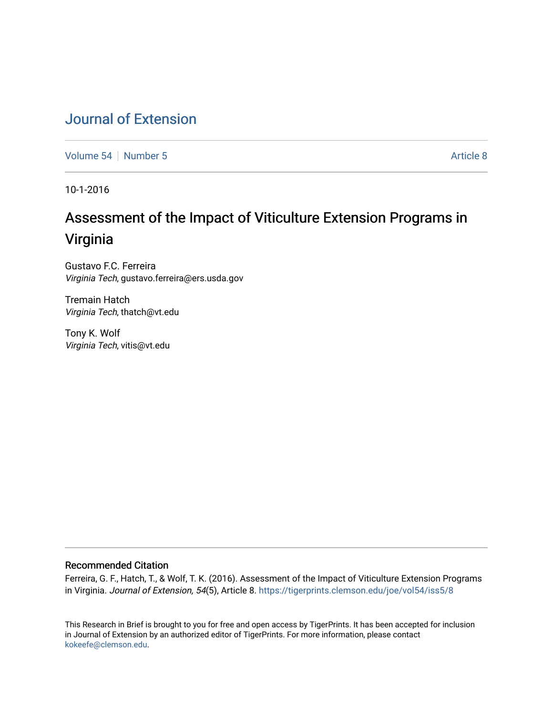# [Journal of Extension](https://tigerprints.clemson.edu/joe)

[Volume 54](https://tigerprints.clemson.edu/joe/vol54) [Number 5](https://tigerprints.clemson.edu/joe/vol54/iss5) [Article 8](https://tigerprints.clemson.edu/joe/vol54/iss5/8) Article 8

10-1-2016

# Assessment of the Impact of Viticulture Extension Programs in Virginia

Gustavo F.C. Ferreira Virginia Tech, gustavo.ferreira@ers.usda.gov

Tremain Hatch Virginia Tech, thatch@vt.edu

Tony K. Wolf Virginia Tech, vitis@vt.edu

### Recommended Citation

Ferreira, G. F., Hatch, T., & Wolf, T. K. (2016). Assessment of the Impact of Viticulture Extension Programs in Virginia. Journal of Extension, 54(5), Article 8. <https://tigerprints.clemson.edu/joe/vol54/iss5/8>

This Research in Brief is brought to you for free and open access by TigerPrints. It has been accepted for inclusion in Journal of Extension by an authorized editor of TigerPrints. For more information, please contact [kokeefe@clemson.edu](mailto:kokeefe@clemson.edu).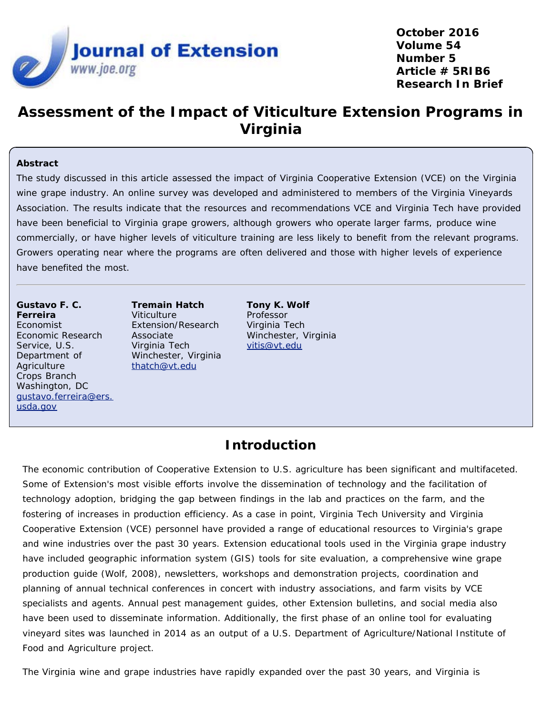

**October 2016 Volume 54 Number 5 Article # 5RIB6 Research In Brief**

# **Assessment of the Impact of Viticulture Extension Programs in Virginia**

#### **Abstract**

The study discussed in this article assessed the impact of Virginia Cooperative Extension (VCE) on the Virginia wine grape industry. An online survey was developed and administered to members of the Virginia Vineyards Association. The results indicate that the resources and recommendations VCE and Virginia Tech have provided have been beneficial to Virginia grape growers, although growers who operate larger farms, produce wine commercially, or have higher levels of viticulture training are less likely to benefit from the relevant programs. Growers operating near where the programs are often delivered and those with higher levels of experience have benefited the most.

**Gustavo F. C. Ferreira** Economist Economic Research Service, U.S. Department of **Agriculture** Crops Branch Washington, DC [gustavo.ferreira@ers.](mailto:gustavo.ferreira@ers.usda.gov) [usda.gov](mailto:gustavo.ferreira@ers.usda.gov)

**Tremain Hatch Viticulture** Extension/Research Associate Virginia Tech Winchester, Virginia [thatch@vt.edu](mailto:thatch@vt.edu)

**Tony K. Wolf** Professor Virginia Tech Winchester, Virginia [vitis@vt.edu](mailto:vitis@vt.edu)

### **Introduction**

The economic contribution of Cooperative Extension to U.S. agriculture has been significant and multifaceted. Some of Extension's most visible efforts involve the dissemination of technology and the facilitation of technology adoption, bridging the gap between findings in the lab and practices on the farm, and the fostering of increases in production efficiency. As a case in point, Virginia Tech University and Virginia Cooperative Extension (VCE) personnel have provided a range of educational resources to Virginia's grape and wine industries over the past 30 years. Extension educational tools used in the Virginia grape industry have included geographic information system (GIS) tools for site evaluation, a comprehensive wine grape production guide (Wolf, 2008), newsletters, workshops and demonstration projects, coordination and planning of annual technical conferences in concert with industry associations, and farm visits by VCE specialists and agents. Annual pest management guides, other Extension bulletins, and social media also have been used to disseminate information. Additionally, the first phase of an online tool for evaluating vineyard sites was launched in 2014 as an output of a U.S. Department of Agriculture/National Institute of Food and Agriculture project.

The Virginia wine and grape industries have rapidly expanded over the past 30 years, and Virginia is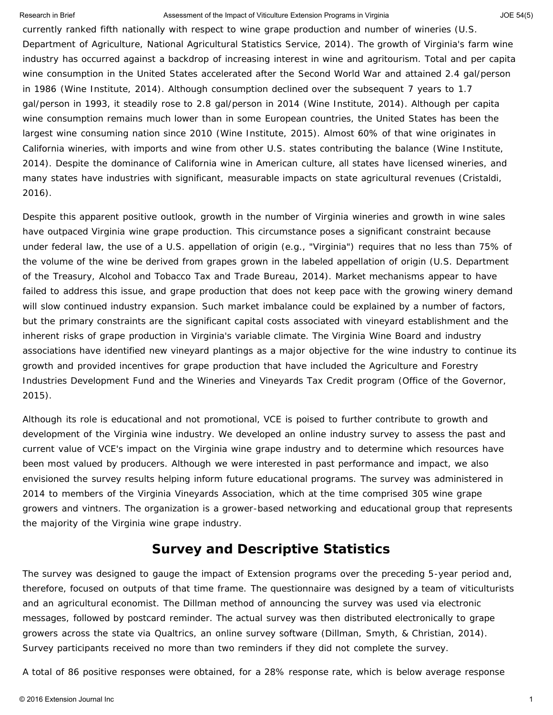currently ranked fifth nationally with respect to wine grape production and number of wineries (U.S. Department of Agriculture, National Agricultural Statistics Service, 2014). The growth of Virginia's farm wine industry has occurred against a backdrop of increasing interest in wine and agritourism. Total and per capita wine consumption in the United States accelerated after the Second World War and attained 2.4 gal/person in 1986 (Wine Institute, 2014). Although consumption declined over the subsequent 7 years to 1.7 gal/person in 1993, it steadily rose to 2.8 gal/person in 2014 (Wine Institute, 2014). Although per capita wine consumption remains much lower than in some European countries, the United States has been the largest wine consuming nation since 2010 (Wine Institute, 2015). Almost 60% of that wine originates in California wineries, with imports and wine from other U.S. states contributing the balance (Wine Institute, 2014). Despite the dominance of California wine in American culture, all states have licensed wineries, and many states have industries with significant, measurable impacts on state agricultural revenues (Cristaldi, 2016).

Despite this apparent positive outlook, growth in the number of Virginia wineries and growth in wine sales have outpaced Virginia wine grape production. This circumstance poses a significant constraint because under federal law, the use of a U.S. appellation of origin (e.g., "Virginia") requires that no less than 75% of the volume of the wine be derived from grapes grown in the labeled appellation of origin (U.S. Department of the Treasury, Alcohol and Tobacco Tax and Trade Bureau, 2014). Market mechanisms appear to have failed to address this issue, and grape production that does not keep pace with the growing winery demand will slow continued industry expansion. Such market imbalance could be explained by a number of factors, but the primary constraints are the significant capital costs associated with vineyard establishment and the inherent risks of grape production in Virginia's variable climate. The Virginia Wine Board and industry associations have identified new vineyard plantings as a major objective for the wine industry to continue its growth and provided incentives for grape production that have included the Agriculture and Forestry Industries Development Fund and the Wineries and Vineyards Tax Credit program (Office of the Governor, 2015).

Although its role is educational and not promotional, VCE is poised to further contribute to growth and development of the Virginia wine industry. We developed an online industry survey to assess the past and current value of VCE's impact on the Virginia wine grape industry and to determine which resources have been most valued by producers. Although we were interested in past performance and impact, we also envisioned the survey results helping inform future educational programs. The survey was administered in 2014 to members of the Virginia Vineyards Association, which at the time comprised 305 wine grape growers and vintners. The organization is a grower-based networking and educational group that represents the majority of the Virginia wine grape industry.

### **Survey and Descriptive Statistics**

The survey was designed to gauge the impact of Extension programs over the preceding 5-year period and, therefore, focused on outputs of that time frame. The questionnaire was designed by a team of viticulturists and an agricultural economist. The Dillman method of announcing the survey was used via electronic messages, followed by postcard reminder. The actual survey was then distributed electronically to grape growers across the state via Qualtrics, an online survey software (Dillman, Smyth, & Christian, 2014). Survey participants received no more than two reminders if they did not complete the survey.

A total of 86 positive responses were obtained, for a 28% response rate, which is below average response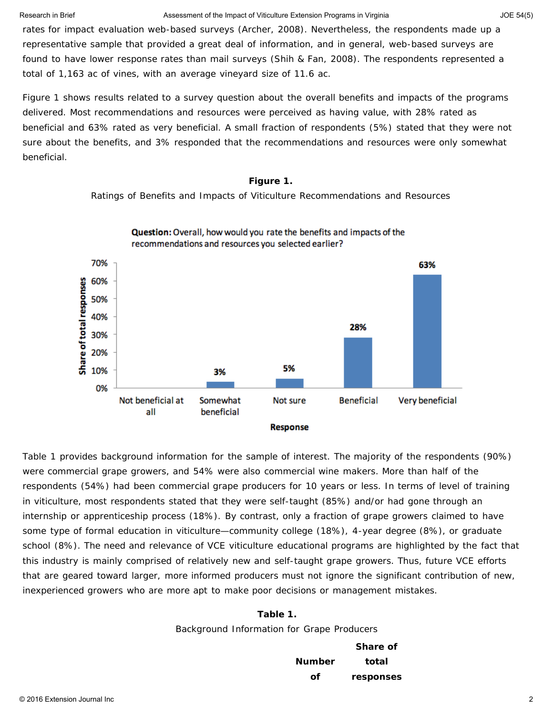rates for impact evaluation web-based surveys (Archer, 2008). Nevertheless, the respondents made up a representative sample that provided a great deal of information, and in general, web-based surveys are found to have lower response rates than mail surveys (Shih & Fan, 2008). The respondents represented a total of 1,163 ac of vines, with an average vineyard size of 11.6 ac.

Figure 1 shows results related to a survey question about the overall benefits and impacts of the programs delivered. Most recommendations and resources were perceived as having value, with 28% rated as beneficial and 63% rated as very beneficial. A small fraction of respondents (5%) stated that they were not sure about the benefits, and 3% responded that the recommendations and resources were only somewhat beneficial.

#### **Figure 1.**

Ratings of Benefits and Impacts of Viticulture Recommendations and Resources



Question: Overall, how would you rate the benefits and impacts of the

Table 1 provides background information for the sample of interest. The majority of the respondents (90%) were commercial grape growers, and 54% were also commercial wine makers. More than half of the respondents (54%) had been commercial grape producers for 10 years or less. In terms of level of training in viticulture, most respondents stated that they were self-taught (85%) and/or had gone through an internship or apprenticeship process (18%). By contrast, only a fraction of grape growers claimed to have some type of formal education in viticulture—community college (18%), 4-year degree (8%), or graduate school (8%). The need and relevance of VCE viticulture educational programs are highlighted by the fact that this industry is mainly comprised of relatively new and self-taught grape growers. Thus, future VCE efforts that are geared toward larger, more informed producers must not ignore the significant contribution of new, inexperienced growers who are more apt to make poor decisions or management mistakes.

### **Table 1.**

Background Information for Grape Producers

|        | Share of  |
|--------|-----------|
| Number | total     |
| Ωf     | responses |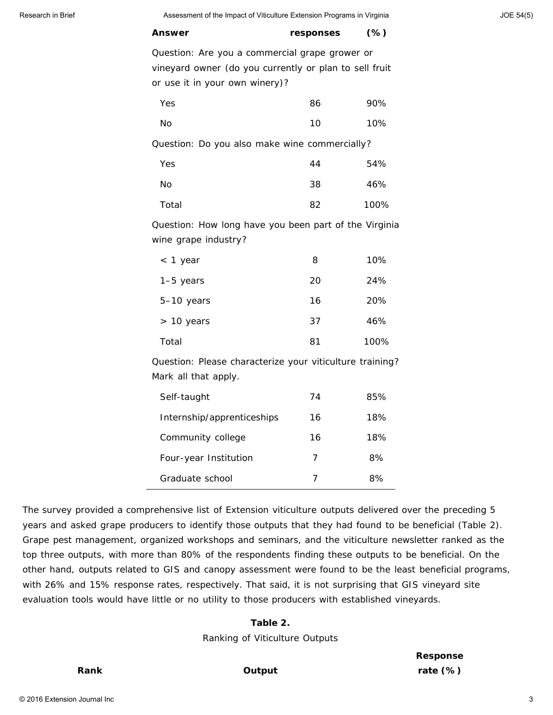| <b>Answer</b>                                                                                                                              | responses | $(\%)$ |
|--------------------------------------------------------------------------------------------------------------------------------------------|-----------|--------|
| Question: Are you a commercial grape grower or<br>vineyard owner (do you currently or plan to sell fruit<br>or use it in your own winery)? |           |        |
| Yes                                                                                                                                        | 86        | 90%    |
| No                                                                                                                                         | 10        | 10%    |
| Question: Do you also make wine commercially?                                                                                              |           |        |
| Yes                                                                                                                                        | 44        | 54%    |
| No                                                                                                                                         | 38        | 46%    |
| Total                                                                                                                                      | 82        | 100%   |
| Question: How long have you been part of the Virginia<br>wine grape industry?                                                              |           |        |
| $<$ 1 year                                                                                                                                 | 8         | 10%    |
| $1-5$ years                                                                                                                                | 20        | 24%    |
| 5-10 years                                                                                                                                 | 16        | 20%    |
| $> 10$ years                                                                                                                               | 37        | 46%    |
| Total                                                                                                                                      | 81        | 100%   |
| Question: Please characterize your viticulture training?<br>Mark all that apply.                                                           |           |        |

| Self-taught                | 74 | 85% |
|----------------------------|----|-----|
| Internship/apprenticeships | 16 | 18% |
| Community college          | 16 | 18% |
| Four-year Institution      | 7  | 8%  |
| Graduate school            | 7  | 8%  |

The survey provided a comprehensive list of Extension viticulture outputs delivered over the preceding 5 years and asked grape producers to identify those outputs that they had found to be beneficial (Table 2). Grape pest management, organized workshops and seminars, and the viticulture newsletter ranked as the top three outputs, with more than 80% of the respondents finding these outputs to be beneficial. On the other hand, outputs related to GIS and canopy assessment were found to be the least beneficial programs, with 26% and 15% response rates, respectively. That said, it is not surprising that GIS vineyard site evaluation tools would have little or no utility to those producers with established vineyards.

#### **Table 2.**

Ranking of Viticulture Outputs

**Response rate (%)**

#### **Rank Output**

© 2016 Extension Journal Inc 3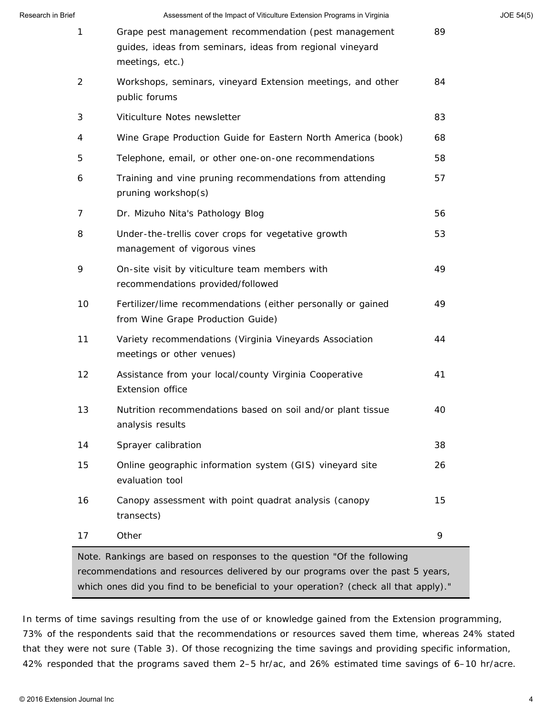| Research in Brief | Assessment of the Impact of Viticulture Extension Programs in Virginia                                                                |    | JOE 54(5) |
|-------------------|---------------------------------------------------------------------------------------------------------------------------------------|----|-----------|
| 1                 | Grape pest management recommendation (pest management<br>guides, ideas from seminars, ideas from regional vineyard<br>meetings, etc.) | 89 |           |
| $\overline{2}$    | Workshops, seminars, vineyard Extension meetings, and other<br>public forums                                                          | 84 |           |
| 3                 | Viticulture Notes newsletter                                                                                                          | 83 |           |
| 4                 | Wine Grape Production Guide for Eastern North America (book)                                                                          | 68 |           |
| 5                 | Telephone, email, or other one-on-one recommendations                                                                                 | 58 |           |
| 6                 | Training and vine pruning recommendations from attending<br>pruning workshop(s)                                                       | 57 |           |
| 7                 | Dr. Mizuho Nita's Pathology Blog                                                                                                      | 56 |           |
| 8                 | Under-the-trellis cover crops for vegetative growth<br>management of vigorous vines                                                   | 53 |           |
| 9                 | On-site visit by viticulture team members with<br>recommendations provided/followed                                                   | 49 |           |
| 10                | Fertilizer/lime recommendations (either personally or gained<br>from Wine Grape Production Guide)                                     | 49 |           |
| 11                | Variety recommendations (Virginia Vineyards Association<br>meetings or other venues)                                                  | 44 |           |
| 12                | Assistance from your local/county Virginia Cooperative<br>Extension office                                                            | 41 |           |
| 13                | Nutrition recommendations based on soil and/or plant tissue<br>analysis results                                                       | 40 |           |
| 14                | Sprayer calibration                                                                                                                   | 38 |           |
| 15                | Online geographic information system (GIS) vineyard site<br>evaluation tool                                                           | 26 |           |
| 16                | Canopy assessment with point quadrat analysis (canopy<br>transects)                                                                   | 15 |           |
| 17                | Other                                                                                                                                 | 9  |           |

In terms of time savings resulting from the use of or knowledge gained from the Extension programming, 73% of the respondents said that the recommendations or resources saved them time, whereas 24% stated that they were not sure (Table 3). Of those recognizing the time savings and providing specific information, 42% responded that the programs saved them 2–5 hr/ac, and 26% estimated time savings of 6–10 hr/acre.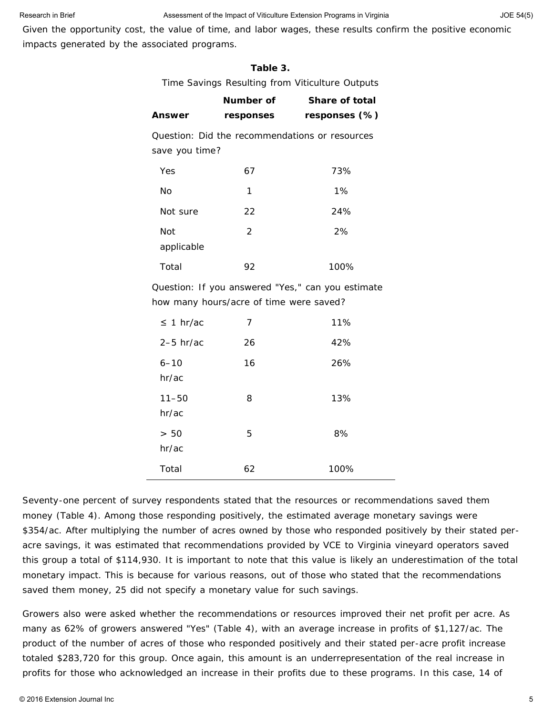Given the opportunity cost, the value of time, and labor wages, these results confirm the positive economic impacts generated by the associated programs.

#### **Table 3.**

Time Savings Resulting from Viticulture Outputs

|                    | Number of                               | Share of total                                    |
|--------------------|-----------------------------------------|---------------------------------------------------|
| Answer             | responses                               | responses (%)                                     |
|                    |                                         | Question: Did the recommendations or resources    |
| save you time?     |                                         |                                                   |
| Yes                | 67                                      | 73%                                               |
| No                 | 1                                       | 1%                                                |
| Not sure           | 22                                      | 24%                                               |
| Not<br>applicable  | 2                                       | 2%                                                |
| Total              | 92                                      | 100%                                              |
|                    | how many hours/acre of time were saved? | Question: If you answered "Yes," can you estimate |
| $\leq 1$ hr/ac     | 7                                       | 11%                                               |
| $2-5$ hr/ac        | 26                                      | 42%                                               |
| $6 - 10$<br>hr/ac  | 16                                      | 26%                                               |
| $11 - 50$<br>hr/ac | 8                                       | 13%                                               |
| > 50<br>hr/ac      | 5                                       | 8%                                                |
| Total              | 62                                      | 100%                                              |

Seventy-one percent of survey respondents stated that the resources or recommendations saved them money (Table 4). Among those responding positively, the estimated average monetary savings were \$354/ac. After multiplying the number of acres owned by those who responded positively by their stated peracre savings, it was estimated that recommendations provided by VCE to Virginia vineyard operators saved this group a total of \$114,930. It is important to note that this value is likely an underestimation of the total monetary impact. This is because for various reasons, out of those who stated that the recommendations saved them money, 25 did not specify a monetary value for such savings.

Growers also were asked whether the recommendations or resources improved their net profit per acre. As many as 62% of growers answered "Yes" (Table 4), with an average increase in profits of \$1,127/ac. The product of the number of acres of those who responded positively and their stated per-acre profit increase totaled \$283,720 for this group. Once again, this amount is an underrepresentation of the real increase in profits for those who acknowledged an increase in their profits due to these programs. In this case, 14 of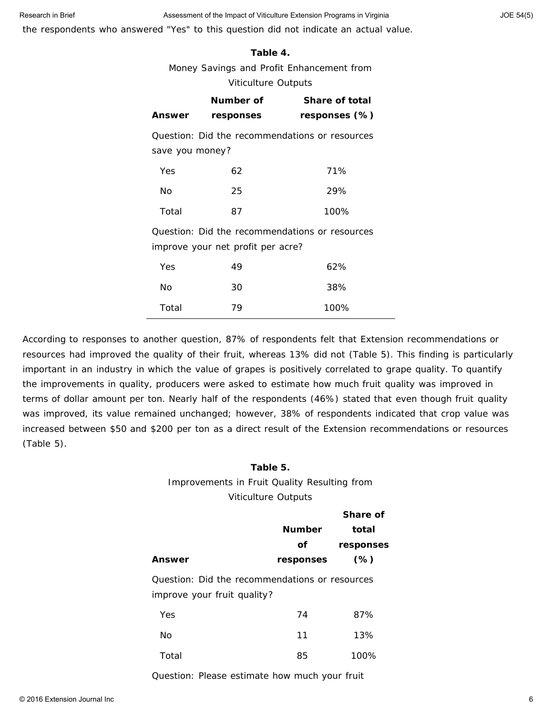the respondents who answered "Yes" to this question did not indicate an actual value.

#### **Table 4.**

Money Savings and Profit Enhancement from

#### Viticulture Outputs

|                                                                                     | Number of | <b>Share of total</b> |
|-------------------------------------------------------------------------------------|-----------|-----------------------|
| <b>Answer</b>                                                                       | responses | responses (%)         |
| Question: Did the recommendations or resources<br>save you money?                   |           |                       |
| Yes                                                                                 | 62        | 71%                   |
| No                                                                                  | 25        | 29%                   |
| Total                                                                               | 87        | 100%                  |
| Question: Did the recommendations or resources<br>improve your net profit per acre? |           |                       |
| Yes                                                                                 | 49        | 62%                   |
| Nο                                                                                  | 30        | 38%                   |
| Total                                                                               | 79        | 100%                  |

According to responses to another question, 87% of respondents felt that Extension recommendations or resources had improved the quality of their fruit, whereas 13% did not (Table 5). This finding is particularly important in an industry in which the value of grapes is positively correlated to grape quality. To quantify the improvements in quality, producers were asked to estimate how much fruit quality was improved in terms of dollar amount per ton. Nearly half of the respondents (46%) stated that even though fruit quality was improved, its value remained unchanged; however, 38% of respondents indicated that crop value was increased between \$50 and \$200 per ton as a direct result of the Extension recommendations or resources (Table 5).

### **Table 5.** Improvements in Fruit Quality Resulting from Viticulture Outputs

|                                                                               |               | Share of  |
|-------------------------------------------------------------------------------|---------------|-----------|
|                                                                               | <b>Number</b> | total     |
|                                                                               | Οf            | responses |
| Answer                                                                        | responses     | $(\%)$    |
| Question: Did the recommendations or resources<br>improve your fruit quality? |               |           |
|                                                                               |               |           |
| Yes                                                                           | 74            | 87%       |
| No                                                                            | 11            | 13%       |
| Total                                                                         | 85            | 100%      |
|                                                                               |               |           |

Question: Please estimate how much your fruit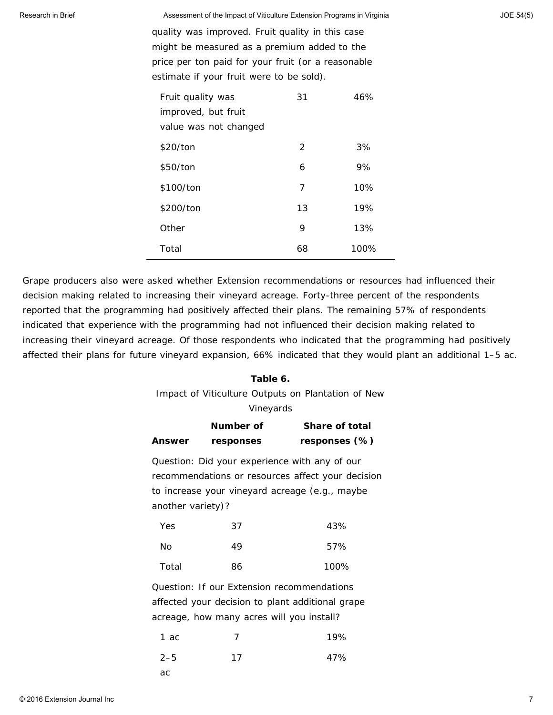quality was improved. Fruit quality in this case might be measured as a premium added to the price per ton paid for your fruit (or a reasonable estimate if your fruit were to be sold).

| Fruit quality was     | 31            | 46%  |
|-----------------------|---------------|------|
| improved, but fruit   |               |      |
| value was not changed |               |      |
| \$20/ton              | $\mathcal{P}$ | 3%   |
| \$50/ton              | 6             | 9%   |
| \$100/ton             | 7             | 10%  |
| \$200/ton             | 13            | 19%  |
| Other                 | 9             | 13%  |
| Total                 | 68            | 100% |

Grape producers also were asked whether Extension recommendations or resources had influenced their decision making related to increasing their vineyard acreage. Forty-three percent of the respondents reported that the programming had positively affected their plans. The remaining 57% of respondents indicated that experience with the programming had not influenced their decision making related to increasing their vineyard acreage. Of those respondents who indicated that the programming had positively affected their plans for future vineyard expansion, 66% indicated that they would plant an additional 1–5 ac.

#### **Table 6.**

Impact of Viticulture Outputs on Plantation of New Vineyards

|                                                  | Number of                                 | <b>Share of total</b>                             |  |
|--------------------------------------------------|-------------------------------------------|---------------------------------------------------|--|
| Answer                                           | responses                                 | responses (%)                                     |  |
|                                                  |                                           | Question: Did your experience with any of our     |  |
|                                                  |                                           | recommendations or resources affect your decision |  |
|                                                  |                                           | to increase your vineyard acreage (e.g., maybe    |  |
| another variety)?                                |                                           |                                                   |  |
| Yes                                              | 37                                        | 43%                                               |  |
| No                                               | 49                                        | 57%                                               |  |
| Total                                            | 86                                        | 100%                                              |  |
| Question: If our Extension recommendations       |                                           |                                                   |  |
| affected your decision to plant additional grape |                                           |                                                   |  |
|                                                  | acreage, how many acres will you install? |                                                   |  |
| 1 ac                                             | 7                                         | 19%                                               |  |
| $2 - 5$                                          | 17                                        | 47%                                               |  |
|                                                  |                                           |                                                   |  |

ac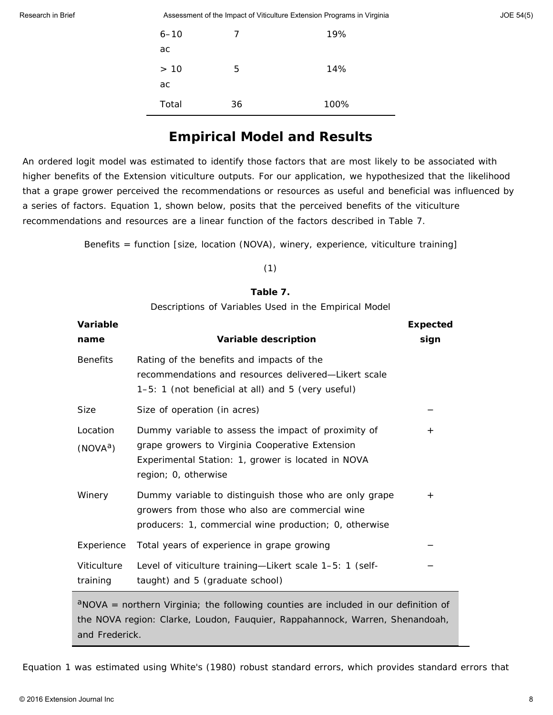| $6 - 10$ | 7  | 19%  |
|----------|----|------|
| ac       |    |      |
| > 10     | 5  | 14%  |
| ac       |    |      |
| Total    | 36 | 100% |

## **Empirical Model and Results**

An ordered logit model was estimated to identify those factors that are most likely to be associated with higher benefits of the Extension viticulture outputs. For our application, we hypothesized that the likelihood that a grape grower perceived the recommendations or resources as useful and beneficial was influenced by a series of factors. Equation 1, shown below, posits that the perceived benefits of the viticulture recommendations and resources are a linear function of the factors described in Table 7.

*Benefits = function [size, location (NOVA), winery, experience, viticulture training]*

#### *(1)*

#### **Table 7.**

Descriptions of Variables Used in the Empirical Model

| Variable                                                                                                                                                               |                                                                                                                                                                                      | <b>Expected</b>    |
|------------------------------------------------------------------------------------------------------------------------------------------------------------------------|--------------------------------------------------------------------------------------------------------------------------------------------------------------------------------------|--------------------|
| name                                                                                                                                                                   | Variable description                                                                                                                                                                 | sign               |
| <b>Benefits</b>                                                                                                                                                        | Rating of the benefits and impacts of the<br>recommendations and resources delivered—Likert scale<br>1-5: 1 (not beneficial at all) and 5 (very useful)                              |                    |
| <b>Size</b>                                                                                                                                                            | Size of operation (in acres)                                                                                                                                                         |                    |
| Location<br>(NOVA <sup>a</sup> )                                                                                                                                       | Dummy variable to assess the impact of proximity of<br>grape growers to Virginia Cooperative Extension<br>Experimental Station: 1, grower is located in NOVA<br>region; 0, otherwise | $\hspace{0.1mm} +$ |
| Winery                                                                                                                                                                 | Dummy variable to distinguish those who are only grape<br>growers from those who also are commercial wine<br>producers: 1, commercial wine production; 0, otherwise                  | $^{+}$             |
| Experience                                                                                                                                                             | Total years of experience in grape growing                                                                                                                                           |                    |
| Viticulture<br>training                                                                                                                                                | Level of viticulture training-Likert scale 1-5: 1 (self-<br>taught) and 5 (graduate school)                                                                                          |                    |
| $a$ NOVA = northern Virginia; the following counties are included in our definition of<br>the NOVA region: Clarke, Loudon, Fauquier, Rappahannock, Warren, Shenandoah, |                                                                                                                                                                                      |                    |

and Frederick.

Equation 1 was estimated using White's (1980) robust standard errors, which provides standard errors that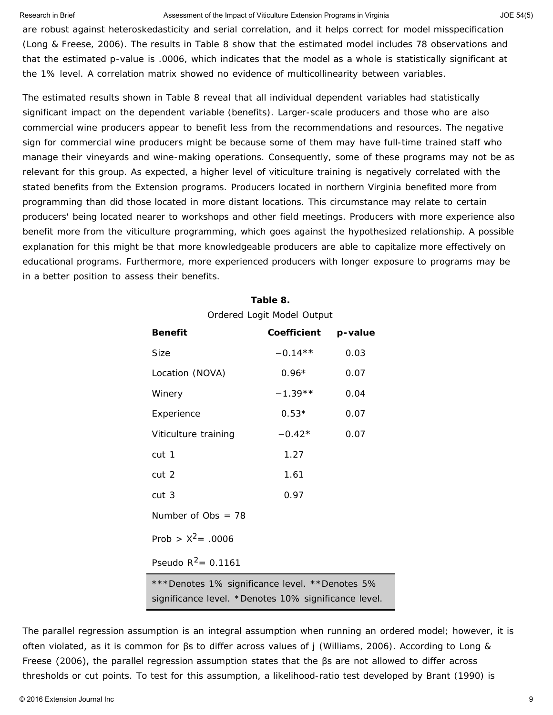are robust against heteroskedasticity and serial correlation, and it helps correct for model misspecification (Long & Freese, 2006). The results in Table 8 show that the estimated model includes 78 observations and that the estimated *p*-value is .0006, which indicates that the model as a whole is statistically significant at the 1% level. A correlation matrix showed no evidence of multicollinearity between variables.

The estimated results shown in Table 8 reveal that all individual dependent variables had statistically significant impact on the dependent variable (benefits). Larger-scale producers and those who are also commercial wine producers appear to benefit less from the recommendations and resources. The negative sign for commercial wine producers might be because some of them may have full-time trained staff who manage their vineyards and wine-making operations. Consequently, some of these programs may not be as relevant for this group. As expected, a higher level of viticulture training is negatively correlated with the stated benefits from the Extension programs. Producers located in northern Virginia benefited more from programming than did those located in more distant locations. This circumstance may relate to certain producers' being located nearer to workshops and other field meetings. Producers with more experience also benefit more from the viticulture programming, which goes against the hypothesized relationship. A possible explanation for this might be that more knowledgeable producers are able to capitalize more effectively on educational programs. Furthermore, more experienced producers with longer exposure to programs may be in a better position to assess their benefits.

> **Table 8.** Ordered Logit Model Output

| <b>Benefit</b>                                 | Coefficient p-value |      |  |
|------------------------------------------------|---------------------|------|--|
| Size                                           | $-0.14**$           | 0.03 |  |
| Location (NOVA)                                | $0.96*$             | 0.07 |  |
| Winery                                         | $-1.39**$           | 0.04 |  |
| Experience                                     | $0.53*$             | 0.07 |  |
| Viticulture training                           | $-0.42*$            | 0.07 |  |
| cut 1                                          | 1.27                |      |  |
| cut 2                                          | 1.61                |      |  |
| cut <sub>3</sub>                               | 0.97                |      |  |
| Number of $Obs = 78$                           |                     |      |  |
| Prob > $X^2$ = .0006                           |                     |      |  |
| Pseudo $R^2$ = 0.1161                          |                     |      |  |
| ***Denotes 1% significance level. **Denotes 5% |                     |      |  |

significance level. \*Denotes 10% significance level.

The parallel regression assumption is an integral assumption when running an ordered model; however, it is often violated, as it is common for βs to differ across values of *j* (Williams, 2006). According to Long & Freese (2006), the parallel regression assumption states that the βs are not allowed to differ across thresholds or cut points. To test for this assumption, a likelihood-ratio test developed by Brant (1990) is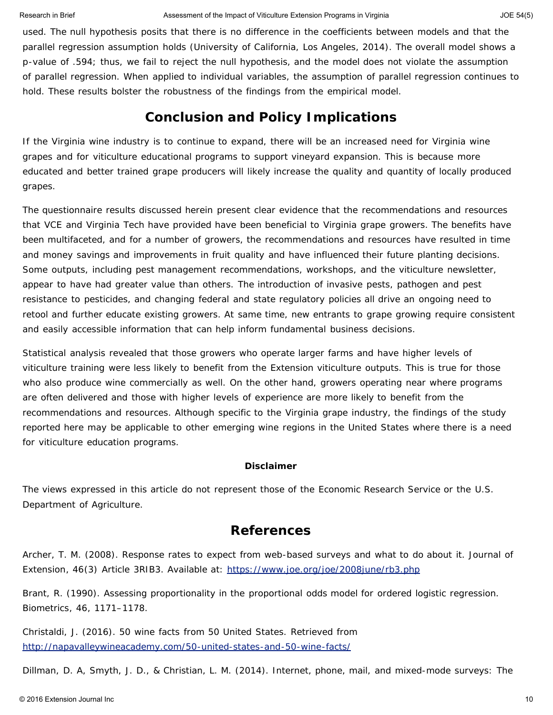used. The null hypothesis posits that there is no difference in the coefficients between models and that the parallel regression assumption holds (University of California, Los Angeles, 2014). The overall model shows a *p*-value of .594; thus, we fail to reject the null hypothesis, and the model does not violate the assumption of parallel regression. When applied to individual variables, the assumption of parallel regression continues to hold. These results bolster the robustness of the findings from the empirical model.

### **Conclusion and Policy Implications**

If the Virginia wine industry is to continue to expand, there will be an increased need for Virginia wine grapes and for viticulture educational programs to support vineyard expansion. This is because more educated and better trained grape producers will likely increase the quality and quantity of locally produced grapes.

The questionnaire results discussed herein present clear evidence that the recommendations and resources that VCE and Virginia Tech have provided have been beneficial to Virginia grape growers. The benefits have been multifaceted, and for a number of growers, the recommendations and resources have resulted in time and money savings and improvements in fruit quality and have influenced their future planting decisions. Some outputs, including pest management recommendations, workshops, and the viticulture newsletter, appear to have had greater value than others. The introduction of invasive pests, pathogen and pest resistance to pesticides, and changing federal and state regulatory policies all drive an ongoing need to retool and further educate existing growers. At same time, new entrants to grape growing require consistent and easily accessible information that can help inform fundamental business decisions.

Statistical analysis revealed that those growers who operate larger farms and have higher levels of viticulture training were less likely to benefit from the Extension viticulture outputs. This is true for those who also produce wine commercially as well. On the other hand, growers operating near where programs are often delivered and those with higher levels of experience are more likely to benefit from the recommendations and resources. Although specific to the Virginia grape industry, the findings of the study reported here may be applicable to other emerging wine regions in the United States where there is a need for viticulture education programs.

#### **Disclaimer**

The views expressed in this article do not represent those of the Economic Research Service or the U.S. Department of Agriculture.

### **References**

Archer, T. M. (2008). Response rates to expect from web-based surveys and what to do about it. *Journal of Extension*, *46*(3) Article 3RIB3. Available at: <https://www.joe.org/joe/2008june/rb3.php>

Brant, R. (1990). Assessing proportionality in the proportional odds model for ordered logistic regression. *Biometrics*, *46*, 1171–1178.

Christaldi, J. (2016). *50 wine facts from 50 United States.* Retrieved from <http://napavalleywineacademy.com/50-united-states-and-50-wine-facts/>

Dillman, D. A, Smyth, J. D., & Christian, L. M. (2014). *Internet, phone, mail, and mixed-mode surveys: The*